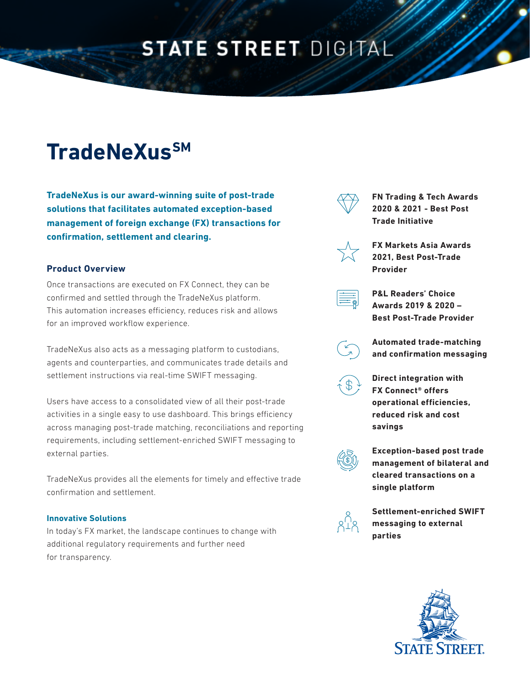## **STATE STREET DIGITAL**

# **TradeNeXusSM**

**TradeNeXus is our award-winning suite of post-trade solutions that facilitates automated exception-based management of foreign exchange (FX) transactions for confirmation, settlement and clearing.** 

#### **Product Overview**

Once transactions are executed on FX Connect, they can be confirmed and settled through the TradeNeXus platform. This automation increases efficiency, reduces risk and allows for an improved workflow experience.

TradeNeXus also acts as a messaging platform to custodians, agents and counterparties, and communicates trade details and settlement instructions via real-time SWIFT messaging.

Users have access to a consolidated view of all their post-trade activities in a single easy to use dashboard. This brings efficiency across managing post-trade matching, reconciliations and reporting requirements, including settlement-enriched SWIFT messaging to external parties.

TradeNeXus provides all the elements for timely and effective trade confirmation and settlement.

#### **Innovative Solutions**

In today's FX market, the landscape continues to change with additional regulatory requirements and further need for transparency.



**FN Trading & Tech Awards 2020 & 2021 - Best Post Trade Initiative**



**FX Markets Asia Awards 2021, Best Post-Trade Provider**



**P&L Readers' Choice Awards 2019 & 2020 – Best Post-Trade Provider**



**Automated trade-matching and confirmation messaging**



**Direct integration with FX Connect® offers operational efficiencies, reduced risk and cost savings**



**Exception-based post trade management of bilateral and cleared transactions on a single platform**



**Settlement-enriched SWIFT messaging to external parties**

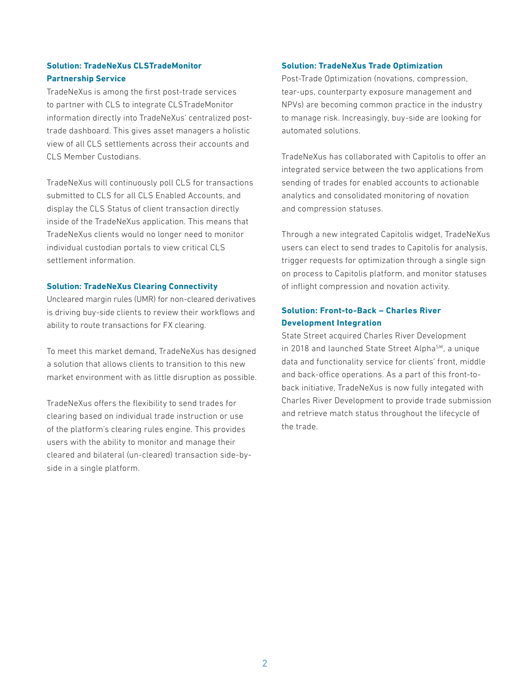#### **Solution: TradeNeXus CLSTradeMonitor Partnership Service**

TradeNeXus is among the first post-trade services to partner with CLS to integrate CLSTradeMonitor information directly into TradeNeXus' centralized posttrade dashboard. This gives asset managers a holistic view of all CLS settlements across their accounts and CLS Member Custodians.

TradeNeXus will continuously poll CLS for transactions submitted to CLS for all CLS Enabled Accounts, and display the CLS Status of client transaction directly inside of the TradeNeXus application. This means that TradeNeXus clients would no longer need to monitor individual custodian portals to view critical CLS settlement information.

#### **Solution: TradeNeXus Clearing Connectivity**

Uncleared margin rules (UMR) for non-cleared derivatives is driving buy-side clients to review their workflows and ability to route transactions for FX clearing.

To meet this market demand, TradeNeXus has designed a solution that allows clients to transition to this new market environment with as little disruption as possible.

TradeNeXus offers the flexibility to send trades for clearing based on individual trade instruction or use of the platform's clearing rules engine. This provides users with the ability to monitor and manage their cleared and bilateral (un-cleared) transaction side-byside in a single platform.

#### **Solution: TradeNeXus Trade Optimization**

Post-Trade Optimization (novations, compression, tear-ups, counterparty exposure management and NPVs) are becoming common practice in the industry to manage risk. Increasingly, buy-side are looking for automated solutions.

TradeNeXus has collaborated with Capitolis to offer an integrated service between the two applications from sending of trades for enabled accounts to actionable analytics and consolidated monitoring of novation and compression statuses.

Through a new integrated Capitolis widget, TradeNeXus users can elect to send trades to Capitolis for analysis, trigger requests for optimization through a single sign on process to Capitolis platform, and monitor statuses of inflight compression and novation activity.

#### **Solution: Front-to-Back – Charles River Development Integration**

State Street acquired Charles River Development in 2018 and launched State Street Alpha<sup>SM</sup>, a unique data and functionality service for clients' front, middle and back-office operations. As a part of this front-toback initiative, TradeNeXus is now fully integated with Charles River Development to provide trade submission and retrieve match status throughout the lifecycle of the trade.